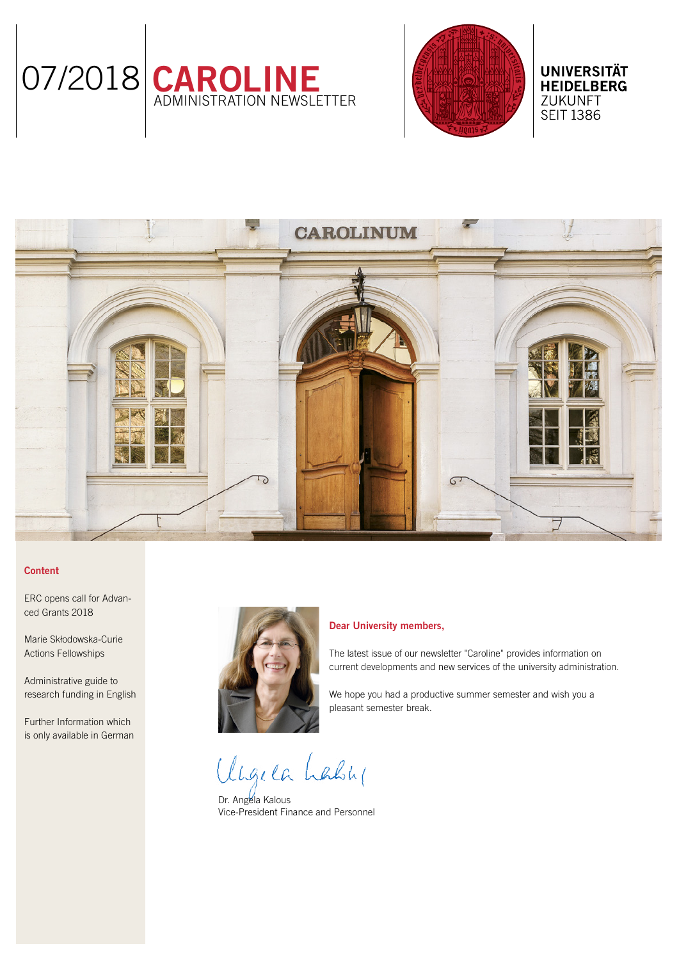



**UNIVERSITÄT HEIDELBERG** ZUKUNFT **SEIT 1386** 

# **CAROLINUM**

# **Content**

[ERC opens call for Advan](#page-1-0)[ced Grants 2018](#page-1-0)

[Marie Skłodowska-Curie](#page-1-0)  [Actions Fellowships](#page-1-0)

[Administrative guide to](#page-1-0)  [research funding in English](#page-1-0)

[Further Information which](#page-2-0)  [is only available in German](#page-2-0)



### Dear University members,

The latest issue of our newsletter "Caroline" provides information on current developments and new services of the university administration.

We hope you had a productive summer semester and wish you a pleasant semester break.

Ungela Lably

Dr. Angela Kalous Vice-President Finance and Personnel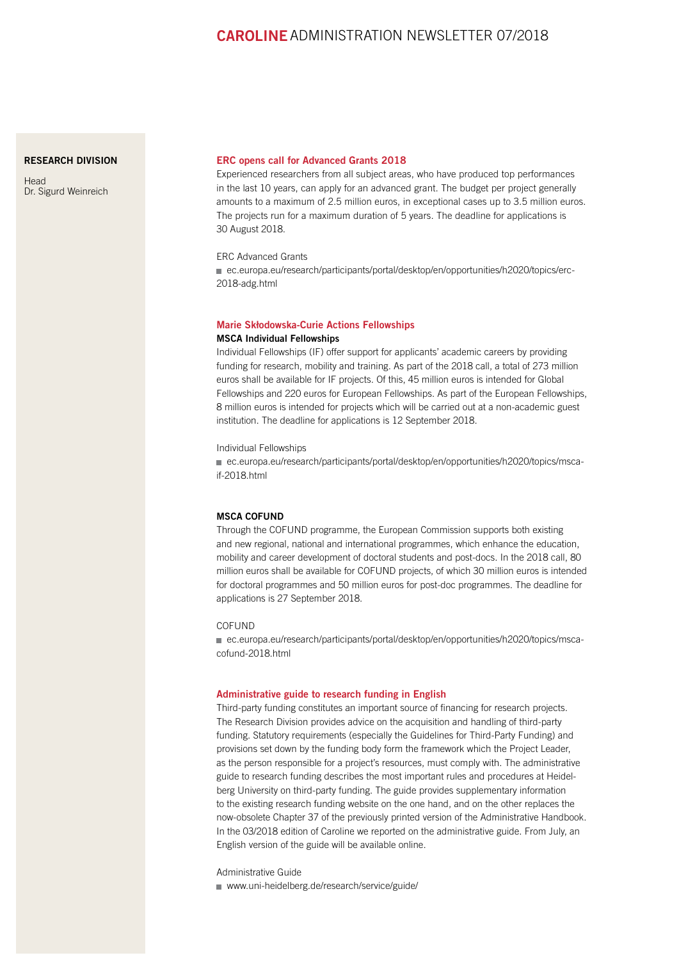# CAROLINEADMINISTRATION NEWSLETTER 07/2018

### <span id="page-1-0"></span>[RESEARCH DIVISION](http://www.uni-heidelberg.de/institutions/administration/research/index.html)

**[Head](http://www.uni-heidelberg.de/institutions/administration/research/index.html)** [Dr. Sigurd Weinreich](http://www.uni-heidelberg.de/institutions/administration/research/index.html)

### ERC opens call for Advanced Grants 2018

Experienced researchers from all subject areas, who have produced top performances in the last 10 years, can apply for an advanced grant. The budget per project generally amounts to a maximum of 2.5 million euros, in exceptional cases up to 3.5 million euros. The projects run for a maximum duration of 5 years. The deadline for applications is 30 August 2018.

# ERC Advanced Grants

■ [ec.europa.eu/research/participants/portal/desktop/en/opportunities/h2020/topics/erc-](http://ec.europa.eu/research/participants/portal/desktop/en/opportunities/h2020/topics/erc-2018-adg.html)[2018-adg.html](http://ec.europa.eu/research/participants/portal/desktop/en/opportunities/h2020/topics/erc-2018-adg.html)

### Marie Skłodowska-Curie Actions Fellowships MSCA Individual Fellowships

Individual Fellowships (IF) offer support for applicants' academic careers by providing funding for research, mobility and training. As part of the 2018 call, a total of 273 million euros shall be available for IF projects. Of this, 45 million euros is intended for Global Fellowships and 220 euros for European Fellowships. As part of the European Fellowships, 8 million euros is intended for projects which will be carried out at a non-academic guest institution. The deadline for applications is 12 September 2018.

Individual Fellowships

 [ec.europa.eu/research/participants/portal/desktop/en/opportunities/h2020/topics/msca](http://ec.europa.eu/research/participants/portal/desktop/en/opportunities/h2020/topics/msca-if-2018.html)[if-2018.html](http://ec.europa.eu/research/participants/portal/desktop/en/opportunities/h2020/topics/msca-if-2018.html)

## MSCA COFUND

Through the COFUND programme, the European Commission supports both existing and new regional, national and international programmes, which enhance the education, mobility and career development of doctoral students and post-docs. In the 2018 call, 80 million euros shall be available for COFUND projects, of which 30 million euros is intended for doctoral programmes and 50 million euros for post-doc programmes. The deadline for applications is 27 September 2018.

### COFUND

 [ec.europa.eu/research/participants/portal/desktop/en/opportunities/h2020/topics/msca](http://ec.europa.eu/research/participants/portal/desktop/en/opportunities/h2020/topics/msca-cofund-2018.html)[cofund-2018.html](http://ec.europa.eu/research/participants/portal/desktop/en/opportunities/h2020/topics/msca-cofund-2018.html)

### Administrative guide to research funding in English

Third-party funding constitutes an important source of financing for research projects. The Research Division provides advice on the acquisition and handling of third-party funding. Statutory requirements (especially the Guidelines for Third-Party Funding) and provisions set down by the funding body form the framework which the Project Leader, as the person responsible for a project's resources, must comply with. The administrative guide to research funding describes the most important rules and procedures at Heidelberg University on third-party funding. The guide provides supplementary information to the existing research funding website on the one hand, and on the other replaces the now-obsolete Chapter 37 of the previously printed version of the Administrative Handbook. In the 03/2018 edition of Caroline we reported on the administrative guide. From July, an English version of the guide will be available online.

Administrative Guide

■ [www.uni-heidelberg.de/research/service/guide/](https://www.uni-heidelberg.de/research/service/guide/)